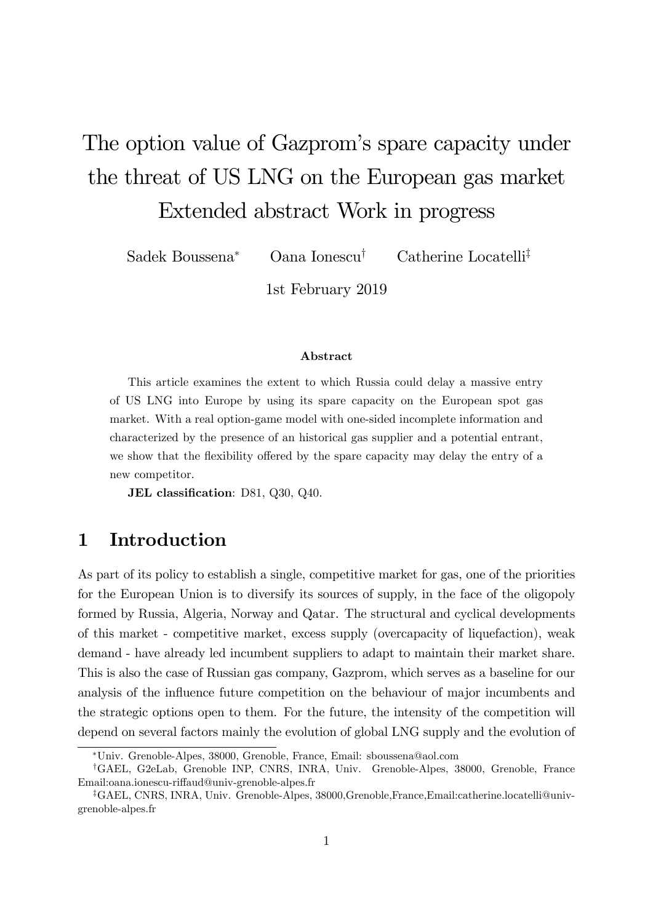# The option value of Gazprom's spare capacity under the threat of US LNG on the European gas market Extended abstract Work in progress

Sadek Boussena<sup>\*</sup> Oana Ionescu<sup>†</sup> Catherine Locatelli<sup>‡</sup>

1st February 2019

#### Abstract

This article examines the extent to which Russia could delay a massive entry of US LNG into Europe by using its spare capacity on the European spot gas market. With a real option-game model with one-sided incomplete information and characterized by the presence of an historical gas supplier and a potential entrant, we show that the flexibility offered by the spare capacity may delay the entry of a new competitor.

JEL classification: D81, Q30, Q40.

## 1 Introduction

As part of its policy to establish a single, competitive market for gas, one of the priorities for the European Union is to diversify its sources of supply, in the face of the oligopoly formed by Russia, Algeria, Norway and Qatar. The structural and cyclical developments of this market - competitive market, excess supply (overcapacity of liquefaction), weak demand - have already led incumbent suppliers to adapt to maintain their market share. This is also the case of Russian gas company, Gazprom, which serves as a baseline for our analysis of the influence future competition on the behaviour of major incumbents and the strategic options open to them. For the future, the intensity of the competition will depend on several factors mainly the evolution of global LNG supply and the evolution of

Univ. Grenoble-Alpes, 38000, Grenoble, France, Email: sboussena@aol.com

<sup>y</sup>GAEL, G2eLab, Grenoble INP, CNRS, INRA, Univ. Grenoble-Alpes, 38000, Grenoble, France Email:oana.ionescu-riffaud@univ-grenoble-alpes.fr

zGAEL, CNRS, INRA, Univ. Grenoble-Alpes, 38000,Grenoble,France,Email:catherine.locatelli@univgrenoble-alpes.fr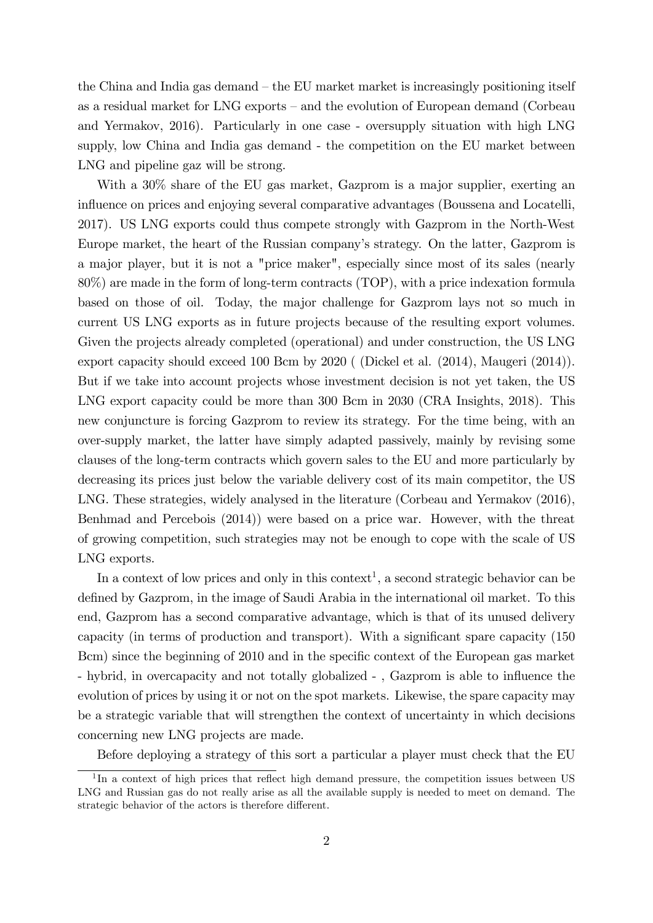the China and India gas demand  $-$  the EU market market is increasingly positioning itself as a residual market for LNG exports – and the evolution of European demand (Corbeau and Yermakov, 2016). Particularly in one case - oversupply situation with high LNG supply, low China and India gas demand - the competition on the EU market between LNG and pipeline gaz will be strong.

With a 30% share of the EU gas market, Gazprom is a major supplier, exerting an influence on prices and enjoying several comparative advantages (Boussena and Locatelli, 2017). US LNG exports could thus compete strongly with Gazprom in the North-West Europe market, the heart of the Russian companyís strategy. On the latter, Gazprom is a major player, but it is not a "price maker", especially since most of its sales (nearly 80%) are made in the form of long-term contracts (TOP), with a price indexation formula based on those of oil. Today, the major challenge for Gazprom lays not so much in current US LNG exports as in future projects because of the resulting export volumes. Given the projects already completed (operational) and under construction, the US LNG export capacity should exceed 100 Bcm by 2020 ( (Dickel et al. (2014), Maugeri (2014)). But if we take into account projects whose investment decision is not yet taken, the US LNG export capacity could be more than 300 Bcm in 2030 (CRA Insights, 2018). This new conjuncture is forcing Gazprom to review its strategy. For the time being, with an over-supply market, the latter have simply adapted passively, mainly by revising some clauses of the long-term contracts which govern sales to the EU and more particularly by decreasing its prices just below the variable delivery cost of its main competitor, the US LNG. These strategies, widely analysed in the literature (Corbeau and Yermakov (2016), Benhmad and Percebois (2014)) were based on a price war. However, with the threat of growing competition, such strategies may not be enough to cope with the scale of US LNG exports.

In a context of low prices and only in this context<sup>1</sup>, a second strategic behavior can be defined by Gazprom, in the image of Saudi Arabia in the international oil market. To this end, Gazprom has a second comparative advantage, which is that of its unused delivery capacity (in terms of production and transport). With a significant spare capacity  $(150$ Bcm) since the beginning of 2010 and in the specific context of the European gas market - hybrid, in overcapacity and not totally globalized -, Gazprom is able to influence the evolution of prices by using it or not on the spot markets. Likewise, the spare capacity may be a strategic variable that will strengthen the context of uncertainty in which decisions concerning new LNG projects are made.

Before deploying a strategy of this sort a particular a player must check that the EU

<sup>&</sup>lt;sup>1</sup>In a context of high prices that reflect high demand pressure, the competition issues between US LNG and Russian gas do not really arise as all the available supply is needed to meet on demand. The strategic behavior of the actors is therefore different.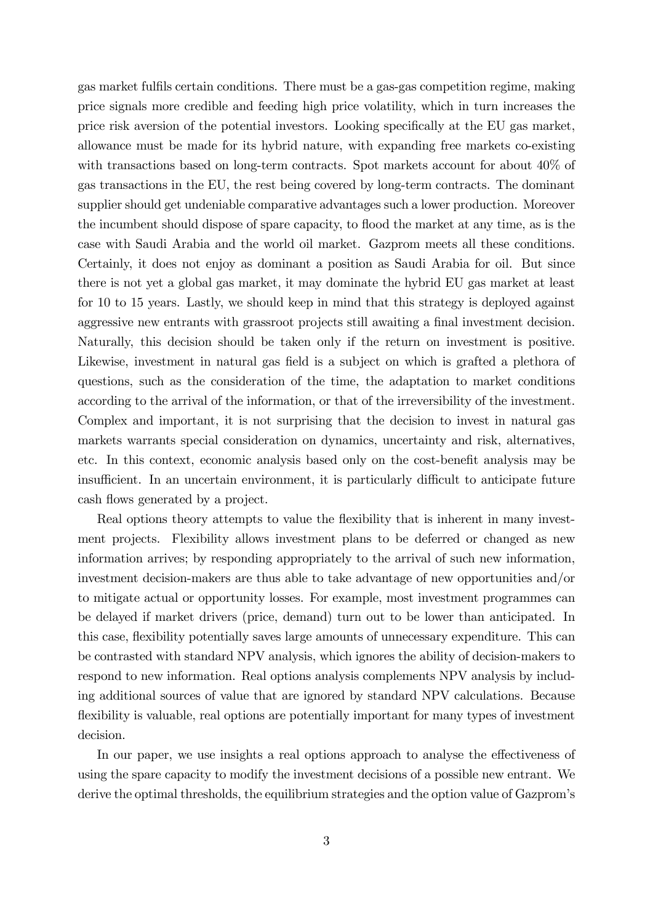gas market fulfils certain conditions. There must be a gas-gas competition regime, making price signals more credible and feeding high price volatility, which in turn increases the price risk aversion of the potential investors. Looking specifically at the EU gas market, allowance must be made for its hybrid nature, with expanding free markets co-existing with transactions based on long-term contracts. Spot markets account for about 40% of gas transactions in the EU, the rest being covered by long-term contracts. The dominant supplier should get undeniable comparative advantages such a lower production. Moreover the incumbent should dispose of spare capacity, to flood the market at any time, as is the case with Saudi Arabia and the world oil market. Gazprom meets all these conditions. Certainly, it does not enjoy as dominant a position as Saudi Arabia for oil. But since there is not yet a global gas market, it may dominate the hybrid EU gas market at least for 10 to 15 years. Lastly, we should keep in mind that this strategy is deployed against aggressive new entrants with grassroot projects still awaiting a final investment decision. Naturally, this decision should be taken only if the return on investment is positive. Likewise, investment in natural gas field is a subject on which is grafted a plethora of questions, such as the consideration of the time, the adaptation to market conditions according to the arrival of the information, or that of the irreversibility of the investment. Complex and important, it is not surprising that the decision to invest in natural gas markets warrants special consideration on dynamics, uncertainty and risk, alternatives, etc. In this context, economic analysis based only on the cost-benefit analysis may be insufficient. In an uncertain environment, it is particularly difficult to anticipate future cash flows generated by a project.

Real options theory attempts to value the flexibility that is inherent in many investment projects. Flexibility allows investment plans to be deferred or changed as new information arrives; by responding appropriately to the arrival of such new information, investment decision-makers are thus able to take advantage of new opportunities and/or to mitigate actual or opportunity losses. For example, most investment programmes can be delayed if market drivers (price, demand) turn out to be lower than anticipated. In this case, flexibility potentially saves large amounts of unnecessary expenditure. This can be contrasted with standard NPV analysis, which ignores the ability of decision-makers to respond to new information. Real options analysis complements NPV analysis by including additional sources of value that are ignored by standard NPV calculations. Because flexibility is valuable, real options are potentially important for many types of investment decision.

In our paper, we use insights a real options approach to analyse the effectiveness of using the spare capacity to modify the investment decisions of a possible new entrant. We derive the optimal thresholds, the equilibrium strategies and the option value of Gazprom's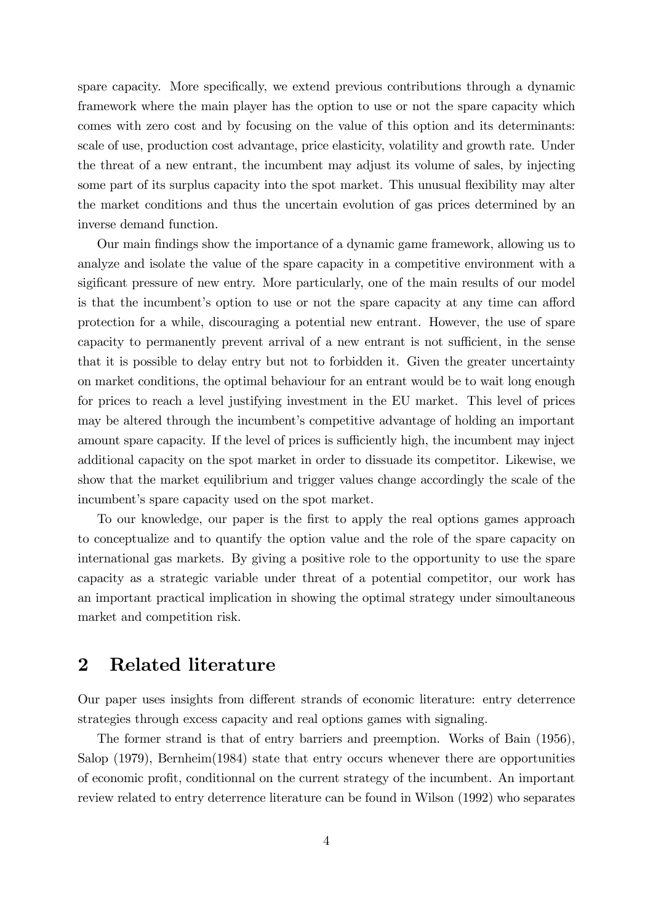spare capacity. More specifically, we extend previous contributions through a dynamic framework where the main player has the option to use or not the spare capacity which comes with zero cost and by focusing on the value of this option and its determinants: scale of use, production cost advantage, price elasticity, volatility and growth rate. Under the threat of a new entrant, the incumbent may adjust its volume of sales, by injecting some part of its surplus capacity into the spot market. This unusual flexibility may alter the market conditions and thus the uncertain evolution of gas prices determined by an inverse demand function.

Our main Öndings show the importance of a dynamic game framework, allowing us to analyze and isolate the value of the spare capacity in a competitive environment with a sigificant pressure of new entry. More particularly, one of the main results of our model is that the incumbent's option to use or not the spare capacity at any time can afford protection for a while, discouraging a potential new entrant. However, the use of spare capacity to permanently prevent arrival of a new entrant is not sufficient, in the sense that it is possible to delay entry but not to forbidden it. Given the greater uncertainty on market conditions, the optimal behaviour for an entrant would be to wait long enough for prices to reach a level justifying investment in the EU market. This level of prices may be altered through the incumbent's competitive advantage of holding an important amount spare capacity. If the level of prices is sufficiently high, the incumbent may inject additional capacity on the spot market in order to dissuade its competitor. Likewise, we show that the market equilibrium and trigger values change accordingly the scale of the incumbent's spare capacity used on the spot market.

To our knowledge, our paper is the first to apply the real options games approach to conceptualize and to quantify the option value and the role of the spare capacity on international gas markets. By giving a positive role to the opportunity to use the spare capacity as a strategic variable under threat of a potential competitor, our work has an important practical implication in showing the optimal strategy under simoultaneous market and competition risk.

#### 2 Related literature

Our paper uses insights from different strands of economic literature: entry deterrence strategies through excess capacity and real options games with signaling.

The former strand is that of entry barriers and preemption. Works of Bain (1956), Salop (1979), Bernheim(1984) state that entry occurs whenever there are opportunities of economic proÖt, conditionnal on the current strategy of the incumbent. An important review related to entry deterrence literature can be found in Wilson (1992) who separates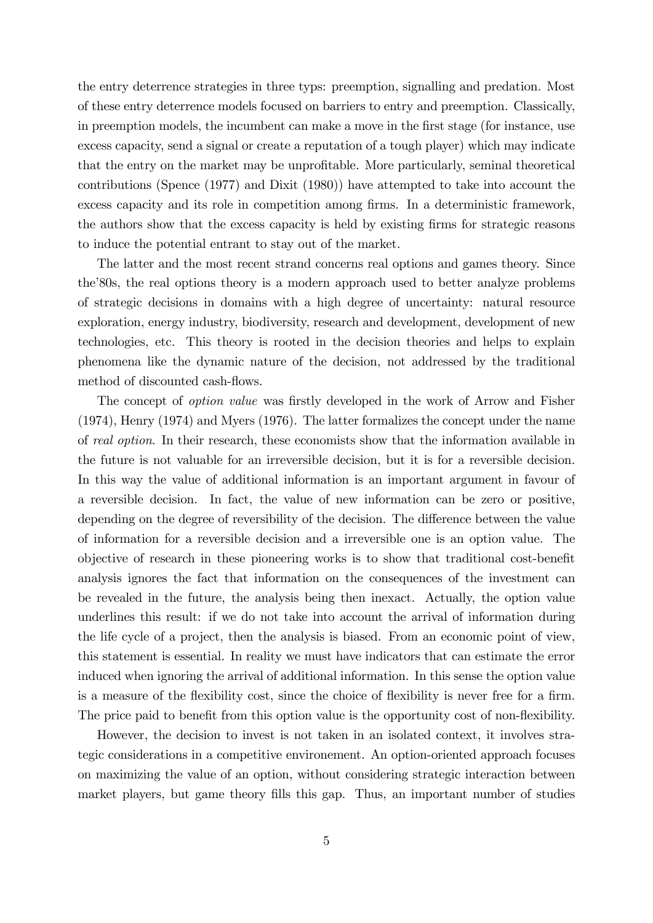the entry deterrence strategies in three typs: preemption, signalling and predation. Most of these entry deterrence models focused on barriers to entry and preemption. Classically, in preemption models, the incumbent can make a move in the Örst stage (for instance, use excess capacity, send a signal or create a reputation of a tough player) which may indicate that the entry on the market may be unprofitable. More particularly, seminal theoretical contributions (Spence (1977) and Dixit (1980)) have attempted to take into account the excess capacity and its role in competition among firms. In a deterministic framework, the authors show that the excess capacity is held by existing firms for strategic reasons to induce the potential entrant to stay out of the market.

The latter and the most recent strand concerns real options and games theory. Since the 80s, the real options theory is a modern approach used to better analyze problems of strategic decisions in domains with a high degree of uncertainty: natural resource exploration, energy industry, biodiversity, research and development, development of new technologies, etc. This theory is rooted in the decision theories and helps to explain phenomena like the dynamic nature of the decision, not addressed by the traditional method of discounted cash-flows.

The concept of *option value* was firstly developed in the work of Arrow and Fisher (1974), Henry (1974) and Myers (1976). The latter formalizes the concept under the name of real option. In their research, these economists show that the information available in the future is not valuable for an irreversible decision, but it is for a reversible decision. In this way the value of additional information is an important argument in favour of a reversible decision. In fact, the value of new information can be zero or positive, depending on the degree of reversibility of the decision. The difference between the value of information for a reversible decision and a irreversible one is an option value. The objective of research in these pioneering works is to show that traditional cost-beneÖt analysis ignores the fact that information on the consequences of the investment can be revealed in the future, the analysis being then inexact. Actually, the option value underlines this result: if we do not take into account the arrival of information during the life cycle of a project, then the analysis is biased. From an economic point of view, this statement is essential. In reality we must have indicators that can estimate the error induced when ignoring the arrival of additional information. In this sense the option value is a measure of the flexibility cost, since the choice of flexibility is never free for a firm. The price paid to benefit from this option value is the opportunity cost of non-flexibility.

However, the decision to invest is not taken in an isolated context, it involves strategic considerations in a competitive environement. An option-oriented approach focuses on maximizing the value of an option, without considering strategic interaction between market players, but game theory fills this gap. Thus, an important number of studies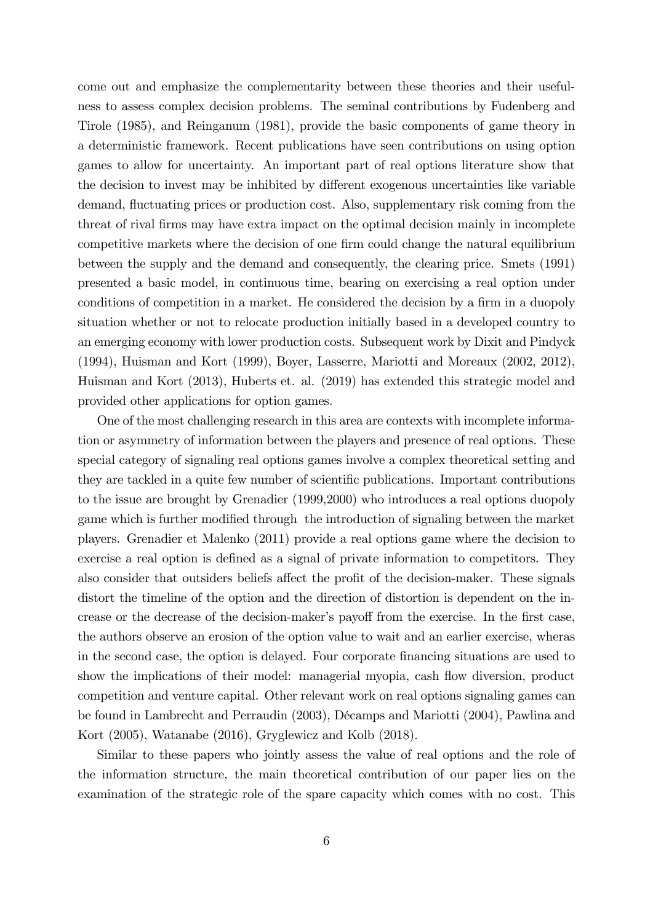come out and emphasize the complementarity between these theories and their usefulness to assess complex decision problems. The seminal contributions by Fudenberg and Tirole (1985), and Reinganum (1981), provide the basic components of game theory in a deterministic framework. Recent publications have seen contributions on using option games to allow for uncertainty. An important part of real options literature show that the decision to invest may be inhibited by different exogenous uncertainties like variable demand, fluctuating prices or production cost. Also, supplementary risk coming from the threat of rival firms may have extra impact on the optimal decision mainly in incomplete competitive markets where the decision of one firm could change the natural equilibrium between the supply and the demand and consequently, the clearing price. Smets (1991) presented a basic model, in continuous time, bearing on exercising a real option under conditions of competition in a market. He considered the decision by a firm in a duopoly situation whether or not to relocate production initially based in a developed country to an emerging economy with lower production costs. Subsequent work by Dixit and Pindyck (1994), Huisman and Kort (1999), Boyer, Lasserre, Mariotti and Moreaux (2002, 2012), Huisman and Kort (2013), Huberts et. al. (2019) has extended this strategic model and provided other applications for option games.

One of the most challenging research in this area are contexts with incomplete information or asymmetry of information between the players and presence of real options. These special category of signaling real options games involve a complex theoretical setting and they are tackled in a quite few number of scientific publications. Important contributions to the issue are brought by Grenadier (1999,2000) who introduces a real options duopoly game which is further modified through the introduction of signaling between the market players. Grenadier et Malenko (2011) provide a real options game where the decision to exercise a real option is defined as a signal of private information to competitors. They also consider that outsiders beliefs affect the profit of the decision-maker. These signals distort the timeline of the option and the direction of distortion is dependent on the increase or the decrease of the decision-maker's payoff from the exercise. In the first case, the authors observe an erosion of the option value to wait and an earlier exercise, wheras in the second case, the option is delayed. Four corporate Önancing situations are used to show the implications of their model: managerial myopia, cash flow diversion, product competition and venture capital. Other relevant work on real options signaling games can be found in Lambrecht and Perraudin (2003), Décamps and Mariotti (2004), Pawlina and Kort (2005), Watanabe (2016), Gryglewicz and Kolb (2018).

Similar to these papers who jointly assess the value of real options and the role of the information structure, the main theoretical contribution of our paper lies on the examination of the strategic role of the spare capacity which comes with no cost. This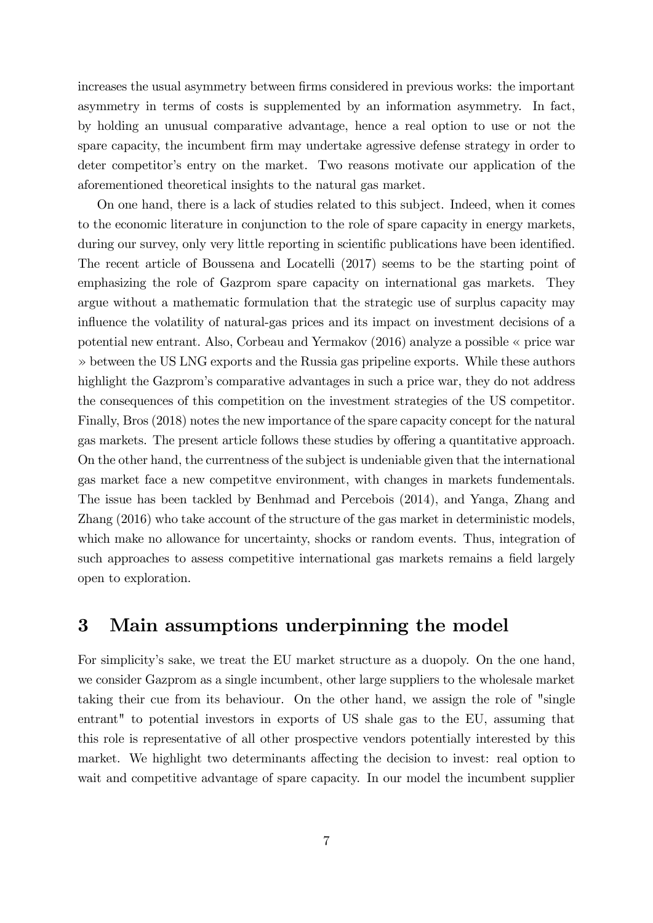increases the usual asymmetry between firms considered in previous works: the important asymmetry in terms of costs is supplemented by an information asymmetry. In fact, by holding an unusual comparative advantage, hence a real option to use or not the spare capacity, the incumbent firm may undertake agressive defense strategy in order to deter competitor's entry on the market. Two reasons motivate our application of the aforementioned theoretical insights to the natural gas market.

On one hand, there is a lack of studies related to this subject. Indeed, when it comes to the economic literature in conjunction to the role of spare capacity in energy markets, during our survey, only very little reporting in scientific publications have been identified. The recent article of Boussena and Locatelli (2017) seems to be the starting point of emphasizing the role of Gazprom spare capacity on international gas markets. They argue without a mathematic formulation that the strategic use of surplus capacity may influence the volatility of natural-gas prices and its impact on investment decisions of a potential new entrant. Also, Corbeau and Yermakov  $(2016)$  analyze a possible  $\ll$  price war ª between the US LNG exports and the Russia gas pripeline exports. While these authors highlight the Gazprom's comparative advantages in such a price war, they do not address the consequences of this competition on the investment strategies of the US competitor. Finally, Bros (2018) notes the new importance of the spare capacity concept for the natural gas markets. The present article follows these studies by offering a quantitative approach. On the other hand, the currentness of the subject is undeniable given that the international gas market face a new competitve environment, with changes in markets fundementals. The issue has been tackled by Benhmad and Percebois (2014), and Yanga, Zhang and Zhang (2016) who take account of the structure of the gas market in deterministic models, which make no allowance for uncertainty, shocks or random events. Thus, integration of such approaches to assess competitive international gas markets remains a field largely open to exploration.

### 3 Main assumptions underpinning the model

For simplicityís sake, we treat the EU market structure as a duopoly. On the one hand, we consider Gazprom as a single incumbent, other large suppliers to the wholesale market taking their cue from its behaviour. On the other hand, we assign the role of "single entrant" to potential investors in exports of US shale gas to the EU, assuming that this role is representative of all other prospective vendors potentially interested by this market. We highlight two determinants affecting the decision to invest: real option to wait and competitive advantage of spare capacity. In our model the incumbent supplier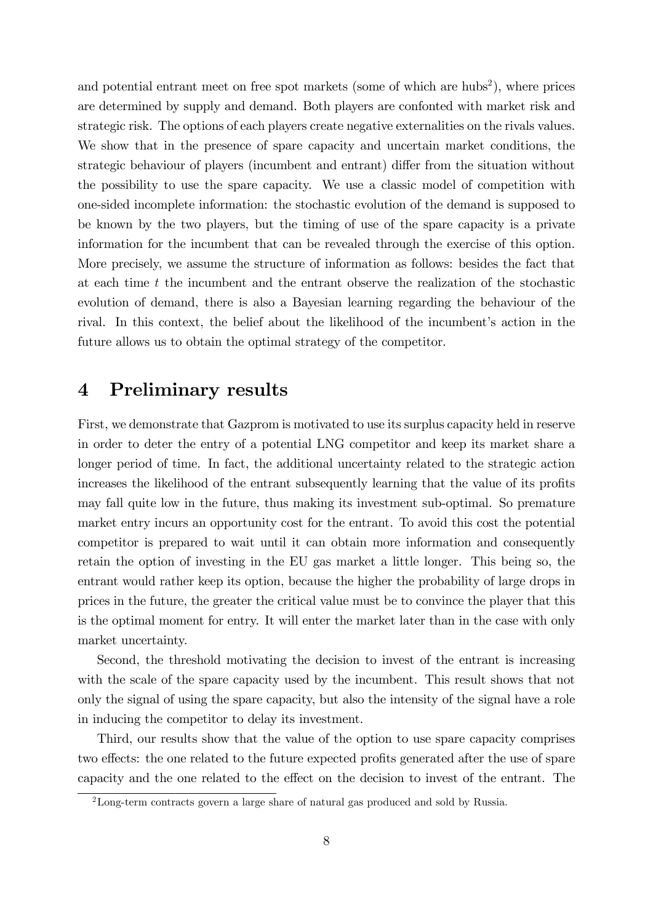and potential entrant meet on free spot markets (some of which are  $hubs<sup>2</sup>$ ), where prices are determined by supply and demand. Both players are confonted with market risk and strategic risk. The options of each players create negative externalities on the rivals values. We show that in the presence of spare capacity and uncertain market conditions, the strategic behaviour of players (incumbent and entrant) differ from the situation without the possibility to use the spare capacity. We use a classic model of competition with one-sided incomplete information: the stochastic evolution of the demand is supposed to be known by the two players, but the timing of use of the spare capacity is a private information for the incumbent that can be revealed through the exercise of this option. More precisely, we assume the structure of information as follows: besides the fact that at each time  $t$  the incumbent and the entrant observe the realization of the stochastic evolution of demand, there is also a Bayesian learning regarding the behaviour of the rival. In this context, the belief about the likelihood of the incumbent's action in the future allows us to obtain the optimal strategy of the competitor.

### 4 Preliminary results

First, we demonstrate that Gazprom is motivated to use its surplus capacity held in reserve in order to deter the entry of a potential LNG competitor and keep its market share a longer period of time. In fact, the additional uncertainty related to the strategic action increases the likelihood of the entrant subsequently learning that the value of its profits may fall quite low in the future, thus making its investment sub-optimal. So premature market entry incurs an opportunity cost for the entrant. To avoid this cost the potential competitor is prepared to wait until it can obtain more information and consequently retain the option of investing in the EU gas market a little longer. This being so, the entrant would rather keep its option, because the higher the probability of large drops in prices in the future, the greater the critical value must be to convince the player that this is the optimal moment for entry. It will enter the market later than in the case with only market uncertainty.

Second, the threshold motivating the decision to invest of the entrant is increasing with the scale of the spare capacity used by the incumbent. This result shows that not only the signal of using the spare capacity, but also the intensity of the signal have a role in inducing the competitor to delay its investment.

Third, our results show that the value of the option to use spare capacity comprises two effects: the one related to the future expected profits generated after the use of spare capacity and the one related to the effect on the decision to invest of the entrant. The

<sup>&</sup>lt;sup>2</sup>Long-term contracts govern a large share of natural gas produced and sold by Russia.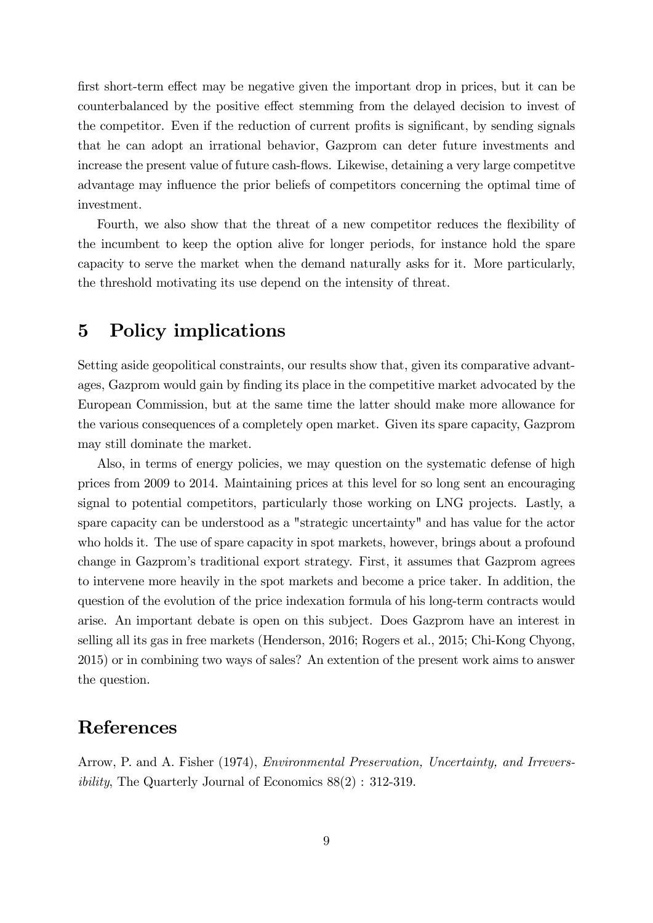first short-term effect may be negative given the important drop in prices, but it can be counterbalanced by the positive effect stemming from the delayed decision to invest of the competitor. Even if the reduction of current profits is significant, by sending signals that he can adopt an irrational behavior, Gazprom can deter future investments and increase the present value of future cash-flows. Likewise, detaining a very large competitve advantage may influence the prior beliefs of competitors concerning the optimal time of investment.

Fourth, we also show that the threat of a new competitor reduces the flexibility of the incumbent to keep the option alive for longer periods, for instance hold the spare capacity to serve the market when the demand naturally asks for it. More particularly, the threshold motivating its use depend on the intensity of threat.

# 5 Policy implications

Setting aside geopolitical constraints, our results show that, given its comparative advantages, Gazprom would gain by finding its place in the competitive market advocated by the European Commission, but at the same time the latter should make more allowance for the various consequences of a completely open market. Given its spare capacity, Gazprom may still dominate the market.

Also, in terms of energy policies, we may question on the systematic defense of high prices from 2009 to 2014. Maintaining prices at this level for so long sent an encouraging signal to potential competitors, particularly those working on LNG projects. Lastly, a spare capacity can be understood as a "strategic uncertainty" and has value for the actor who holds it. The use of spare capacity in spot markets, however, brings about a profound change in Gazpromís traditional export strategy. First, it assumes that Gazprom agrees to intervene more heavily in the spot markets and become a price taker. In addition, the question of the evolution of the price indexation formula of his long-term contracts would arise. An important debate is open on this subject. Does Gazprom have an interest in selling all its gas in free markets (Henderson, 2016; Rogers et al., 2015; Chi-Kong Chyong, 2015) or in combining two ways of sales? An extention of the present work aims to answer the question.

# References

Arrow, P. and A. Fisher (1974), Environmental Preservation, Uncertainty, and Irreversibility, The Quarterly Journal of Economics 88(2) : 312-319.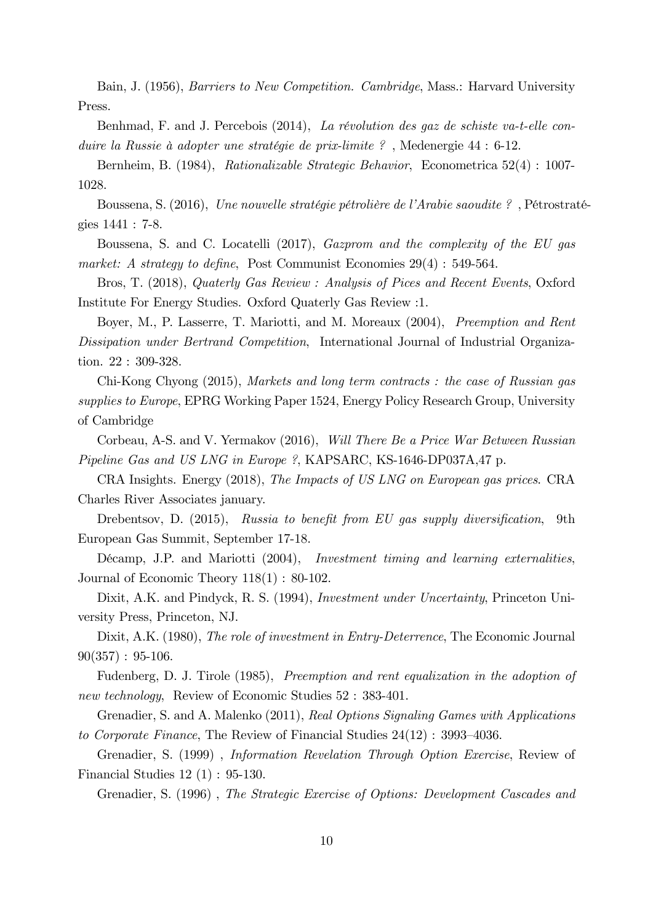Bain, J. (1956), Barriers to New Competition. Cambridge, Mass.: Harvard University Press.

Benhmad, F. and J. Percebois  $(2014)$ , La révolution des gaz de schiste va-t-elle conduire la Russie à adopter une stratégie de prix-limite ?, Medenergie  $44 : 6-12$ .

Bernheim, B. (1984), Rationalizable Strategic Behavior, Econometrica 52(4) : 1007- 1028.

Boussena, S. (2016), Une nouvelle stratégie pétrolière de l'Arabie saoudite ?, Pétrostratégies 1441 : 7-8.

Boussena, S. and C. Locatelli (2017), Gazprom and the complexity of the EU gas market: A strategy to define, Post Communist Economies  $29(4)$ : 549-564.

Bros, T. (2018), Quaterly Gas Review : Analysis of Pices and Recent Events, Oxford Institute For Energy Studies. Oxford Quaterly Gas Review :1.

Boyer, M., P. Lasserre, T. Mariotti, and M. Moreaux (2004), Preemption and Rent Dissipation under Bertrand Competition, International Journal of Industrial Organization. 22 : 309-328.

Chi-Kong Chyong (2015), Markets and long term contracts : the case of Russian gas supplies to Europe, EPRG Working Paper 1524, Energy Policy Research Group, University of Cambridge

Corbeau, A-S. and V. Yermakov (2016), Will There Be a Price War Between Russian Pipeline Gas and US LNG in Europe ?, KAPSARC, KS-1646-DP037A,47 p.

CRA Insights. Energy (2018), The Impacts of US LNG on European gas prices. CRA Charles River Associates january.

Drebentsov, D. (2015), Russia to benefit from EU gas supply diversification, 9th European Gas Summit, September 17-18.

Décamp, J.P. and Mariotti (2004), *Investment timing and learning externalities*, Journal of Economic Theory 118(1) : 80-102.

Dixit, A.K. and Pindyck, R. S. (1994), Investment under Uncertainty, Princeton University Press, Princeton, NJ.

Dixit, A.K. (1980), The role of investment in Entry-Deterrence, The Economic Journal  $90(357): 95-106.$ 

Fudenberg, D. J. Tirole (1985), Preemption and rent equalization in the adoption of new technology, Review of Economic Studies  $52 : 383-401$ .

Grenadier, S. and A. Malenko (2011), Real Options Signaling Games with Applications to Corporate Finance, The Review of Financial Studies  $24(12)$ : 3993-4036.

Grenadier, S. (1999) , Information Revelation Through Option Exercise, Review of Financial Studies 12 (1) : 95-130.

Grenadier, S. (1996) , The Strategic Exercise of Options: Development Cascades and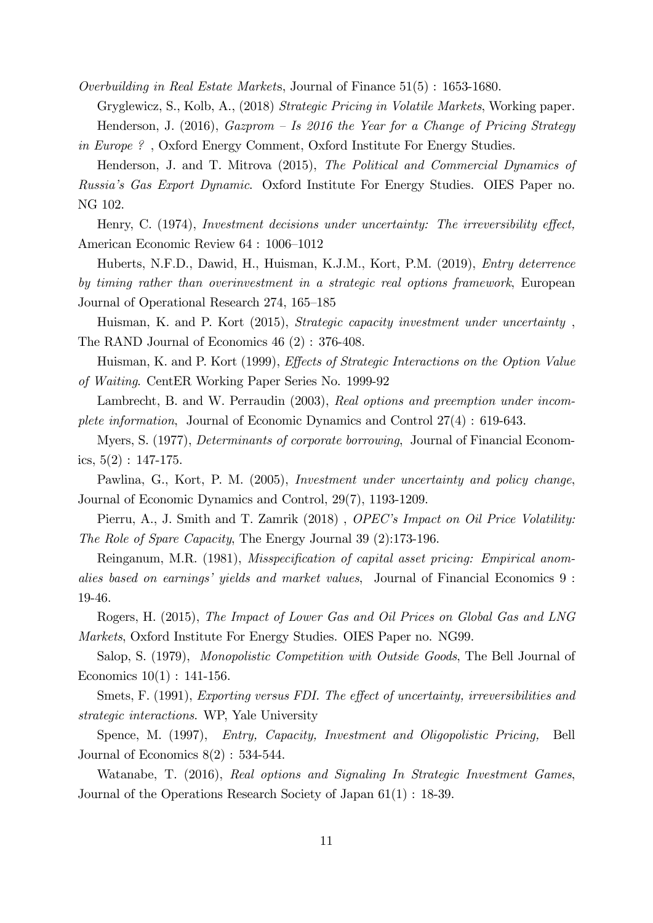Overbuilding in Real Estate Markets, Journal of Finance 51(5) : 1653-1680.

Gryglewicz, S., Kolb, A., (2018) Strategic Pricing in Volatile Markets, Working paper. Henderson, J. (2016), Gazprom – Is 2016 the Year for a Change of Pricing Strategy in Europe ? , Oxford Energy Comment, Oxford Institute For Energy Studies.

Henderson, J. and T. Mitrova (2015), The Political and Commercial Dynamics of Russiaís Gas Export Dynamic. Oxford Institute For Energy Studies. OIES Paper no. NG 102.

Henry, C.  $(1974)$ , Investment decisions under uncertainty: The irreversibility effect, American Economic Review 64 : 1006–1012

Huberts, N.F.D., Dawid, H., Huisman, K.J.M., Kort, P.M. (2019), Entry deterrence by timing rather than overinvestment in a strategic real options framework, European Journal of Operational Research 274, 165–185

Huisman, K. and P. Kort (2015), Strategic capacity investment under uncertainty , The RAND Journal of Economics 46 (2) : 376-408.

Huisman, K. and P. Kort (1999), *Effects of Strategic Interactions on the Option Value* of Waiting. CentER Working Paper Series No. 1999-92

Lambrecht, B. and W. Perraudin (2003), Real options and preemption under incomplete information, Journal of Economic Dynamics and Control 27(4) : 619-643.

Myers, S. (1977), Determinants of corporate borrowing, Journal of Financial Economics,  $5(2): 147-175$ .

Pawlina, G., Kort, P. M. (2005), Investment under uncertainty and policy change, Journal of Economic Dynamics and Control, 29(7), 1193-1209.

Pierru, A., J. Smith and T. Zamrik (2018), *OPEC's Impact on Oil Price Volatility:* The Role of Spare Capacity, The Energy Journal 39 (2):173-196.

Reinganum, M.R. (1981), *Misspecification of capital asset pricing: Empirical anom*alies based on earnings' yields and market values, Journal of Financial Economics 9: 19-46.

Rogers, H. (2015), The Impact of Lower Gas and Oil Prices on Global Gas and LNG Markets, Oxford Institute For Energy Studies. OIES Paper no. NG99.

Salop, S. (1979), Monopolistic Competition with Outside Goods, The Bell Journal of Economics  $10(1)$ : 141-156.

Smets, F. (1991), Exporting versus FDI. The effect of uncertainty, irreversibilities and strategic interactions. WP, Yale University

Spence, M. (1997), Entry, Capacity, Investment and Oligopolistic Pricing, Bell Journal of Economics  $8(2)$ : 534-544.

Watanabe, T. (2016), Real options and Signaling In Strategic Investment Games, Journal of the Operations Research Society of Japan 61(1) : 18-39.